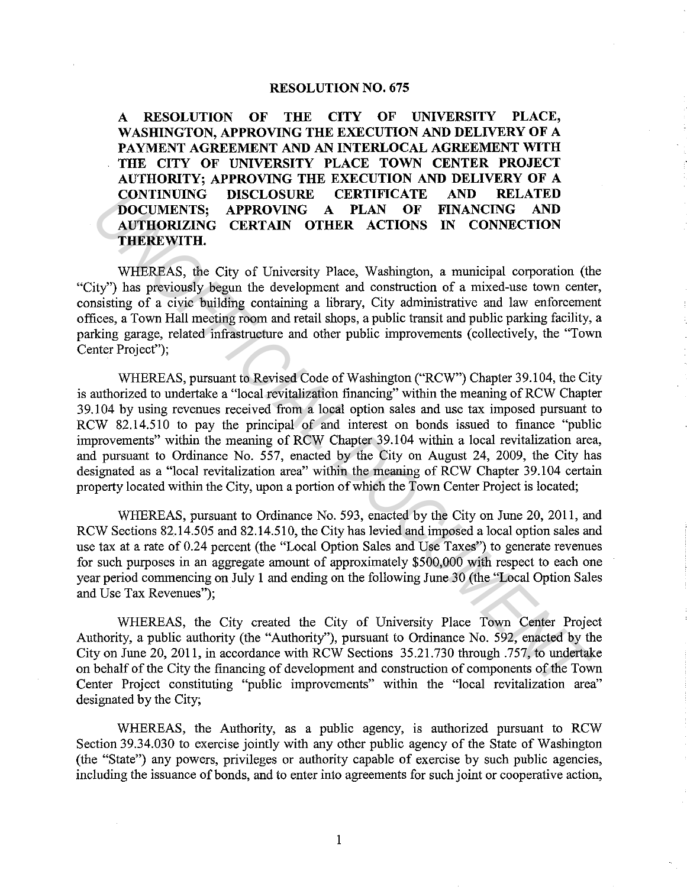## **RESOLUTION NO. 675**

**A RESOLUTION OF THE CITY OF UNIVERSITY PLACE, WASHINGTON, APPROVING THE EXECUTION AND DELIVERY OF A PAYMENT AGREEMENT AND AN INTERLOCAL AGREEMENT WITH THE CITY OF UNIVERSITY PLACE TOWN CENTER PROJECT AUTHORITY; APPROVING THE EXECUTION AND DELIVERY OF A CONTINUING DISCLOSURE CERTIFICATE AND RELATED DOCUMENTS; APPROVING A PLAN OF FINANCING AND AUTHORIZING CERTAIN OTHER ACTIONS IN CONNECTION THEREWITH.** 

WHEREAS, the City of University Place, Washington, a municipal corporation (the "City") has previously begun the development and construction of a mixed-use town center, consisting of a civic building containing a library, City administrative and law enforcement offices, a Town Hall meeting room and retail shops, a public transit and public parking facility, a parking garage, related infrastructure and other public improvements (collectively, the "Town Center Project");

WHEREAS, pursuant to Revised Code of Washington ("RCW") Chapter 39.104, the City is authorized to undertake a "local revitalization financing" within the meaning of RCW Chapter 39.104 by using revenues received from a local option sales and use tax imposed pursuant to RCW 82.14.510 to pay the principal of and interest on bonds issued to finance "public improvements" within the meaning of RCW Chapter 39.104 within a local revitalization area, and pursuant to Ordinance No. 557, enacted by the City on August 24, 2009, the City has designated as a "local revitalization area" within the meaning of RCW Chapter 39.104 certain property located within the City, upon a portion of which the Town Center Project is located; **CONTINUING: ENCLUSIVER CERTIFICATE AND RELATED TOWELL AND CONTROLLY.** APPROVING A PLAN OF FINANCING AND AUTHORIZING CERTAIN OTHER ACTIONS IN CONNECTION THEREWAYTHE. AND AUTHORIZING CERTAIN OTHER ACTIONS IN CONNECTION TH

WHEREAS, pursuant to Ordinance No. 593, enacted by the City on June 20, 2011, and RCW Sections 82.14.505 and 82.14.510, the City has levied and imposed a local option sales and use tax at a rate of 0.24 percent (the "Local Option Sales and Use Taxes") to generate revenues for such purposes in an aggregate amount of approximately \$500,000 with respect to each one year period commencing on July 1 and ending on the following June 30 (the "Local Option Sales and Use Tax Revenues'');

WHEREAS, the City created the City of University Place Town Center Project Authority, a public authority (the "Authority"), pursuant to Ordinance No. 592, enacted by the City on June 20, 2011, in accordance with RCW Sections 35.21.730 through .757, to undertake on behalf of the City the financing of development and construction of components of the Town Center Project constituting "public improvements" within the "local revitalization area" designated by the City;

WHEREAS, the Authority, as a public agency, is authorized pursuant to RCW Section 39.34.030 to exercise jointly with any other public agency of the State of Washington (the "State") any powers, privileges or authority capable of exercise by such public agencies, including the issuance of bonds, and to enter into agreements for such joint or cooperative action,

1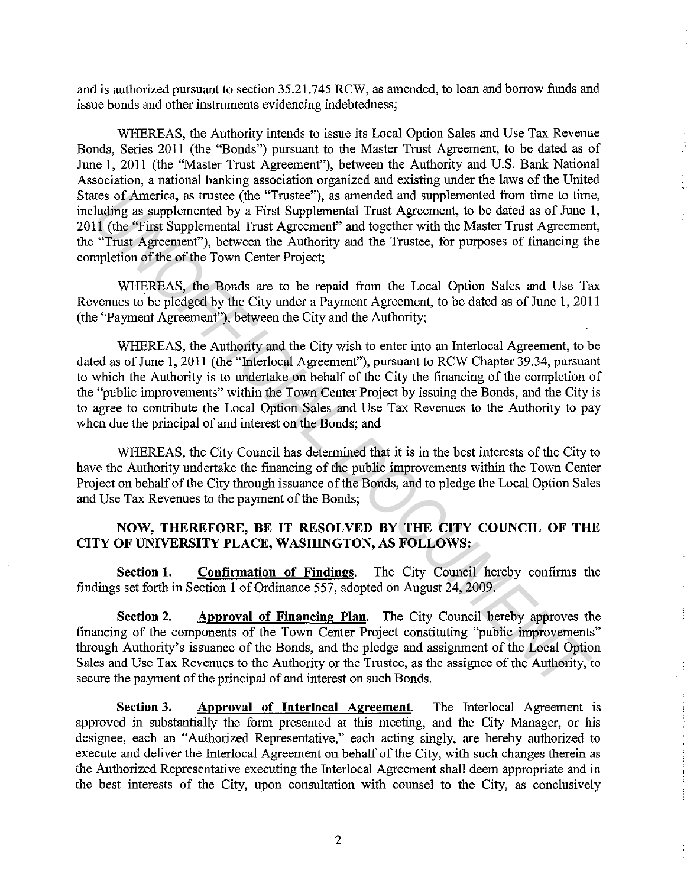and is authorized pursuant to section 35.21.745 RCW, as amended, to loan and borrow funds and issue bonds and other instruments evidencing indebtedness;

WHEREAS, the Authority intends to issue its Local Option Sales and Use Tax Revenue Bonds, Series 2011 (the "Bonds") pursuant to the Master Trust Agreement, to be dated as of June 1, 2011 (the "Master Trust Agreement"), between the Authority and U.S. Bank National Association, a national banking association organized and existing under the laws of the United States of America, as trustee (the "Trustee"), as amended and supplemented from time to time, including as supplemented by a First Supplemental Trust Agreement, to be dated as of June 1, 2011 (the "First Supplemental Trust Agreement" and together with the Master Trust Agreement, the "Trust Agreement"), between the Authority and the Trustee, for purposes of financing the completion of the of the Town Center Project;

WHEREAS, the Bonds are to be repaid from the Local Option Sales and Use Tax Revenues to be pledged by the City under a Payment Agreement, to be dated as of June 1, 2011 (the "Payment Agreement"), between the City and the Authority;

WHEREAS, the Authority and the City wish to enter into an Interlocal Agreement, to be dated as of June 1, 2011 (the "Interlocal Agreement"), pursuant to RCW Chapter 39.34, pursuant to which the Authority is to undertake on behalf of the City the financing of the completion of the "public improvements" within the Town Center Project by issuing the Bonds, and the City is to agree to contribute the Local Option Sales and Use Tax Revenues to the Authority to pay when due the principal of and interest on the Bonds; and Idea of America, as truster (the "Truster"), as amended and supplementat from time to time<br>Inding as supplemented by a First Supplemental Trust Agreement, to be dated as of June if  $1$  (the "First Supplemental Trust Agreem

WHEREAS, the City Council has determined that it is in the best interests of the City to have the Authority undertake the financing of the public improvements within the Town Center Project on behalf of the City through issuance of the Bonds, and to pledge the Local Option Sales and Use Tax Revenues to the payment of the Bonds;

## **NOW, THEREFORE, BE IT RESOLVED BY THE CITY COUNCIL OF THE CITY OF UNIVERSITY PLACE, WASHINGTON, AS FOLLOWS:**

**Section 1. Confirmation of Findings.** The City Council hereby confirms the findings set forth in Section 1 of Ordinance 557, adopted on August 24, 2009.

**Section 2.** Approval of Financing Plan. The City Council hereby approves the financing of the components of the Town Center Project constituting "public improvements" through Authority's issuance of the Bonds, and the pledge and assignment of the Local Option Sales and Use Tax Revenues to the Authority or the Trustee, as the assignee of the Authority, to secure the payment of the principal of and interest on such Bonds.

**Section 3.** Approval of Interlocal Agreement. The Interlocal Agreement is approved in substantially the form presented at this meeting, and the City Manager, or his designee, each an "Authorized Representative," each acting singly, are hereby authorized to execute and deliver the Interlocal Agreement on behalf of the City, with such changes therein as the Authorized Representative executing the Interlocal Agreement shall deem appropriate and in the best interests of the City, upon consultation with counsel to the City, as conclusively